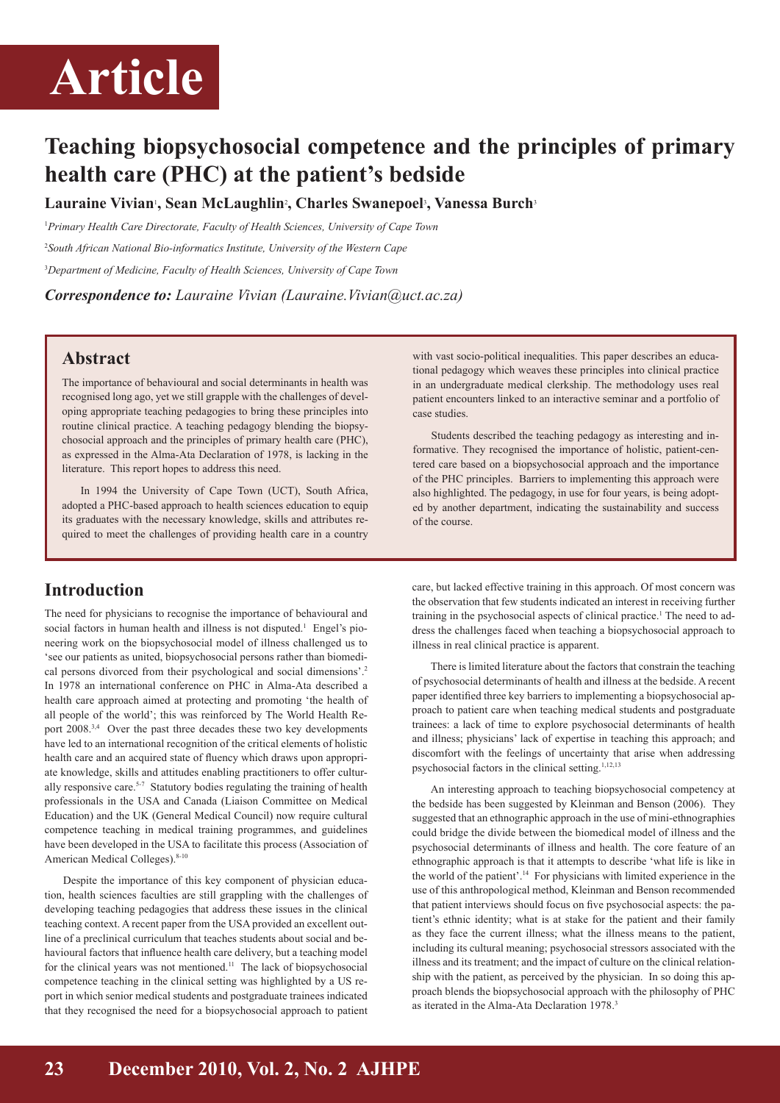## **Article**

## **Teaching biopsychosocial competence and the principles of primary health care (PHC) at the patient's bedside**

**Lauraine Vivian**<sup>1</sup> **, Sean McLaughlin**<sup>2</sup> **, Charles Swanepoel**<sup>3</sup> **, Vanessa Burch**<sup>3</sup>

<sup>1</sup> Primary Health Care Directorate, Faculty of Health Sciences, University of Cape Town

2 *South African National Bio-informatics Institute, University of the Western Cape* 3 *Department of Medicine, Faculty of Health Sciences, University of Cape Town*

*Correspondence to: Lauraine Vivian (Lauraine.Vivian@uct.ac.za)*

### **Abstract**

The importance of behavioural and social determinants in health was recognised long ago, yet we still grapple with the challenges of developing appropriate teaching pedagogies to bring these principles into routine clinical practice. A teaching pedagogy blending the biopsychosocial approach and the principles of primary health care (PHC), as expressed in the Alma-Ata Declaration of 1978, is lacking in the literature. This report hopes to address this need.

In 1994 the University of Cape Town (UCT), South Africa, adopted a PHC-based approach to health sciences education to equip its graduates with the necessary knowledge, skills and attributes required to meet the challenges of providing health care in a country

### **Introduction**

The need for physicians to recognise the importance of behavioural and social factors in human health and illness is not disputed.<sup>1</sup> Engel's pioneering work on the biopsychosocial model of illness challenged us to 'see our patients as united, biopsychosocial persons rather than biomedical persons divorced from their psychological and social dimensions'.2 In 1978 an international conference on PHC in Alma-Ata described a health care approach aimed at protecting and promoting 'the health of all people of the world'; this was reinforced by The World Health Report 2008.<sup>3,4</sup> Over the past three decades these two key developments have led to an international recognition of the critical elements of holistic health care and an acquired state of fluency which draws upon appropriate knowledge, skills and attitudes enabling practitioners to offer culturally responsive care.<sup>5-7</sup> Statutory bodies regulating the training of health professionals in the USA and Canada (Liaison Committee on Medical Education) and the UK (General Medical Council) now require cultural competence teaching in medical training programmes, and guidelines have been developed in the USA to facilitate this process (Association of American Medical Colleges).<sup>8-10</sup>

Despite the importance of this key component of physician education, health sciences faculties are still grappling with the challenges of developing teaching pedagogies that address these issues in the clinical teaching context. A recent paper from the USA provided an excellent outline of a preclinical curriculum that teaches students about social and behavioural factors that influence health care delivery, but a teaching model for the clinical years was not mentioned.<sup>11</sup> The lack of biopsychosocial competence teaching in the clinical setting was highlighted by a US report in which senior medical students and postgraduate trainees indicated that they recognised the need for a biopsychosocial approach to patient

with vast socio-political inequalities. This paper describes an educational pedagogy which weaves these principles into clinical practice in an undergraduate medical clerkship. The methodology uses real patient encounters linked to an interactive seminar and a portfolio of case studies.

Students described the teaching pedagogy as interesting and informative. They recognised the importance of holistic, patient-centered care based on a biopsychosocial approach and the importance of the PHC principles. Barriers to implementing this approach were also highlighted. The pedagogy, in use for four years, is being adopted by another department, indicating the sustainability and success of the course.

care, but lacked effective training in this approach. Of most concern was the observation that few students indicated an interest in receiving further training in the psychosocial aspects of clinical practice.<sup>1</sup> The need to address the challenges faced when teaching a biopsychosocial approach to illness in real clinical practice is apparent.

There is limited literature about the factors that constrain the teaching of psychosocial determinants of health and illness at the bedside. A recent paper identified three key barriers to implementing a biopsychosocial approach to patient care when teaching medical students and postgraduate trainees: a lack of time to explore psychosocial determinants of health and illness; physicians' lack of expertise in teaching this approach; and discomfort with the feelings of uncertainty that arise when addressing psychosocial factors in the clinical setting.<sup>1,12,13</sup>

An interesting approach to teaching biopsychosocial competency at the bedside has been suggested by Kleinman and Benson (2006). They suggested that an ethnographic approach in the use of mini-ethnographies could bridge the divide between the biomedical model of illness and the psychosocial determinants of illness and health. The core feature of an ethnographic approach is that it attempts to describe 'what life is like in the world of the patient'.14 For physicians with limited experience in the use of this anthropological method, Kleinman and Benson recommended that patient interviews should focus on five psychosocial aspects: the patient's ethnic identity; what is at stake for the patient and their family as they face the current illness; what the illness means to the patient, including its cultural meaning; psychosocial stressors associated with the illness and its treatment; and the impact of culture on the clinical relationship with the patient, as perceived by the physician. In so doing this approach blends the biopsychosocial approach with the philosophy of PHC as iterated in the Alma-Ata Declaration 1978.3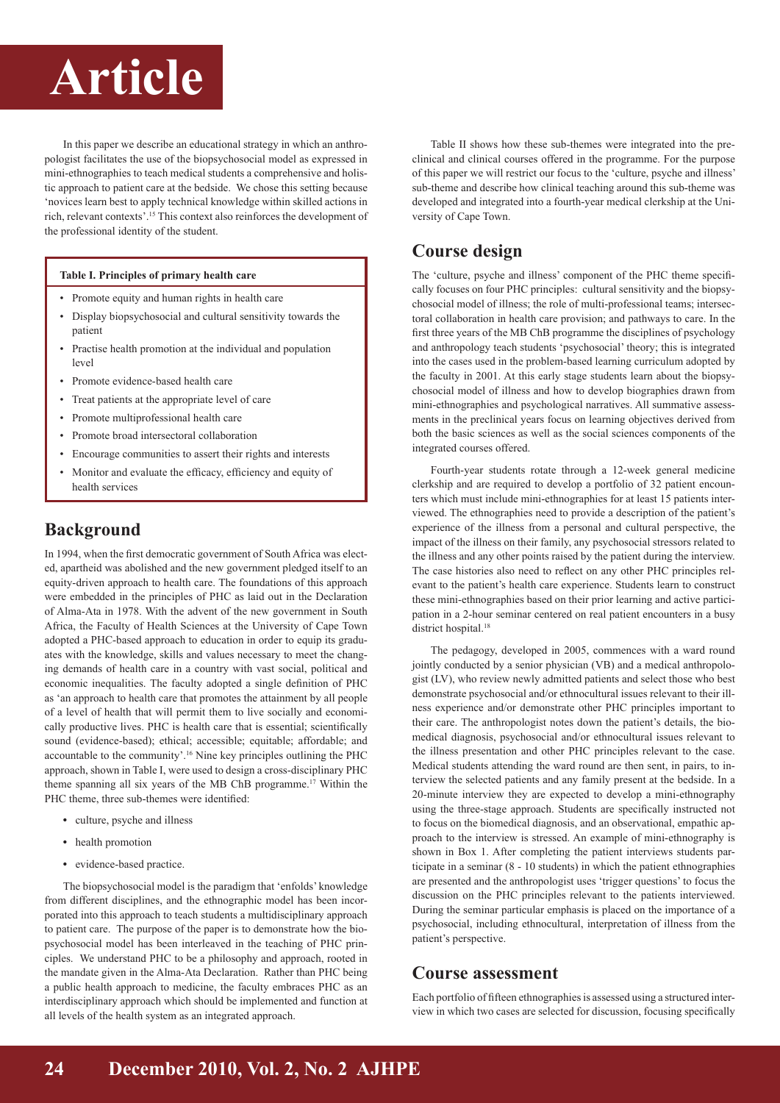# **Article Article**

In this paper we describe an educational strategy in which an anthropologist facilitates the use of the biopsychosocial model as expressed in mini-ethnographies to teach medical students a comprehensive and holistic approach to patient care at the bedside. We chose this setting because 'novices learn best to apply technical knowledge within skilled actions in rich, relevant contexts'.15 This context also reinforces the development of the professional identity of the student.

#### **Table I. Principles of primary health care**

- Promote equity and human rights in health care
- Display biopsychosocial and cultural sensitivity towards the patient
- Practise health promotion at the individual and population level
- Promote evidence-based health care
- Treat patients at the appropriate level of care
- Promote multiprofessional health care
- Promote broad intersectoral collaboration
- Encourage communities to assert their rights and interests
- Monitor and evaluate the efficacy, efficiency and equity of health services

## **Background**

In 1994, when the first democratic government of South Africa was elected, apartheid was abolished and the new government pledged itself to an equity-driven approach to health care. The foundations of this approach were embedded in the principles of PHC as laid out in the Declaration of Alma-Ata in 1978. With the advent of the new government in South Africa, the Faculty of Health Sciences at the University of Cape Town adopted a PHC-based approach to education in order to equip its graduates with the knowledge, skills and values necessary to meet the changing demands of health care in a country with vast social, political and economic inequalities. The faculty adopted a single definition of PHC as 'an approach to health care that promotes the attainment by all people of a level of health that will permit them to live socially and economically productive lives. PHC is health care that is essential; scientifically sound (evidence-based); ethical; accessible; equitable; affordable; and accountable to the community'.16 Nine key principles outlining the PHC approach, shown in Table I, were used to design a cross-disciplinary PHC theme spanning all six years of the MB ChB programme.<sup>17</sup> Within the PHC theme, three sub-themes were identified:

- culture, psyche and illness
- health promotion
- evidence-based practice.

The biopsychosocial model is the paradigm that 'enfolds' knowledge from different disciplines, and the ethnographic model has been incorporated into this approach to teach students a multidisciplinary approach to patient care. The purpose of the paper is to demonstrate how the biopsychosocial model has been interleaved in the teaching of PHC principles. We understand PHC to be a philosophy and approach, rooted in the mandate given in the Alma-Ata Declaration. Rather than PHC being a public health approach to medicine, the faculty embraces PHC as an interdisciplinary approach which should be implemented and function at all levels of the health system as an integrated approach.

Table II shows how these sub-themes were integrated into the preclinical and clinical courses offered in the programme. For the purpose of this paper we will restrict our focus to the 'culture, psyche and illness' sub-theme and describe how clinical teaching around this sub-theme was developed and integrated into a fourth-year medical clerkship at the University of Cape Town.

## **Course design**

The 'culture, psyche and illness' component of the PHC theme specifically focuses on four PHC principles: cultural sensitivity and the biopsychosocial model of illness; the role of multi-professional teams; intersectoral collaboration in health care provision; and pathways to care. In the first three years of the MB ChB programme the disciplines of psychology and anthropology teach students 'psychosocial' theory; this is integrated into the cases used in the problem-based learning curriculum adopted by the faculty in 2001. At this early stage students learn about the biopsychosocial model of illness and how to develop biographies drawn from mini-ethnographies and psychological narratives. All summative assessments in the preclinical years focus on learning objectives derived from both the basic sciences as well as the social sciences components of the integrated courses offered.

Fourth-year students rotate through a 12-week general medicine clerkship and are required to develop a portfolio of 32 patient encounters which must include mini-ethnographies for at least 15 patients interviewed. The ethnographies need to provide a description of the patient's experience of the illness from a personal and cultural perspective, the impact of the illness on their family, any psychosocial stressors related to the illness and any other points raised by the patient during the interview. The case histories also need to reflect on any other PHC principles relevant to the patient's health care experience. Students learn to construct these mini-ethnographies based on their prior learning and active participation in a 2-hour seminar centered on real patient encounters in a busy district hospital.<sup>18</sup>

The pedagogy, developed in 2005, commences with a ward round jointly conducted by a senior physician (VB) and a medical anthropologist (LV), who review newly admitted patients and select those who best demonstrate psychosocial and/or ethnocultural issues relevant to their illness experience and/or demonstrate other PHC principles important to their care. The anthropologist notes down the patient's details, the biomedical diagnosis, psychosocial and/or ethnocultural issues relevant to the illness presentation and other PHC principles relevant to the case. Medical students attending the ward round are then sent, in pairs, to interview the selected patients and any family present at the bedside. In a 20-minute interview they are expected to develop a mini-ethnography using the three-stage approach. Students are specifically instructed not to focus on the biomedical diagnosis, and an observational, empathic approach to the interview is stressed. An example of mini-ethnography is shown in Box 1. After completing the patient interviews students participate in a seminar (8 - 10 students) in which the patient ethnographies are presented and the anthropologist uses 'trigger questions' to focus the discussion on the PHC principles relevant to the patients interviewed. During the seminar particular emphasis is placed on the importance of a psychosocial, including ethnocultural, interpretation of illness from the patient's perspective.

### **Course assessment**

Each portfolio of fifteen ethnographies is assessed using a structured interview in which two cases are selected for discussion, focusing specifically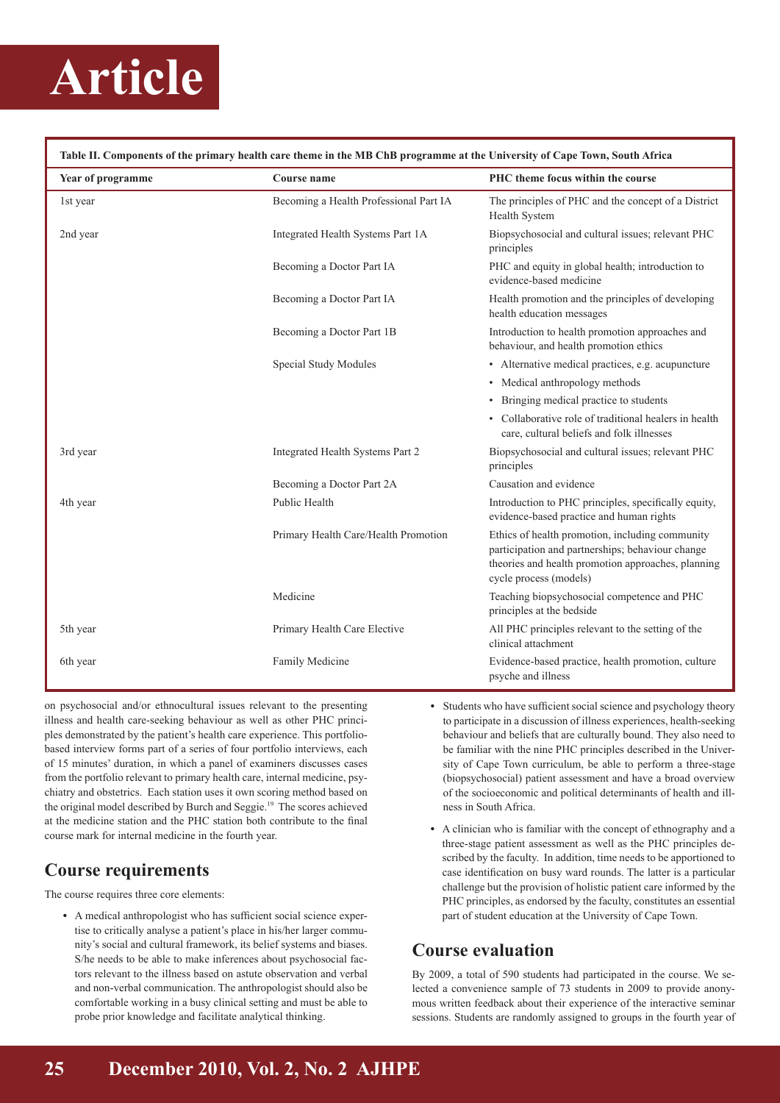# **Article**

| Table II. Components of the primary health care theme in the MB ChB programme at the University of Cape Town, South Africa |                                        |                                                                                                                                                                                     |  |
|----------------------------------------------------------------------------------------------------------------------------|----------------------------------------|-------------------------------------------------------------------------------------------------------------------------------------------------------------------------------------|--|
| Year of programme                                                                                                          | <b>Course name</b>                     | PHC theme focus within the course                                                                                                                                                   |  |
| 1st year                                                                                                                   | Becoming a Health Professional Part IA | The principles of PHC and the concept of a District<br>Health System                                                                                                                |  |
| 2nd year                                                                                                                   | Integrated Health Systems Part 1A      | Biopsychosocial and cultural issues; relevant PHC<br>principles                                                                                                                     |  |
|                                                                                                                            | Becoming a Doctor Part IA              | PHC and equity in global health; introduction to<br>evidence-based medicine                                                                                                         |  |
|                                                                                                                            | Becoming a Doctor Part IA              | Health promotion and the principles of developing<br>health education messages                                                                                                      |  |
|                                                                                                                            | Becoming a Doctor Part 1B              | Introduction to health promotion approaches and<br>behaviour, and health promotion ethics                                                                                           |  |
|                                                                                                                            | Special Study Modules                  | • Alternative medical practices, e.g. acupuncture                                                                                                                                   |  |
|                                                                                                                            |                                        | • Medical anthropology methods                                                                                                                                                      |  |
|                                                                                                                            |                                        | • Bringing medical practice to students                                                                                                                                             |  |
|                                                                                                                            |                                        | • Collaborative role of traditional healers in health<br>care, cultural beliefs and folk illnesses                                                                                  |  |
| 3rd year                                                                                                                   | Integrated Health Systems Part 2       | Biopsychosocial and cultural issues; relevant PHC<br>principles                                                                                                                     |  |
|                                                                                                                            | Becoming a Doctor Part 2A              | Causation and evidence                                                                                                                                                              |  |
| 4th year                                                                                                                   | Public Health                          | Introduction to PHC principles, specifically equity,<br>evidence-based practice and human rights                                                                                    |  |
|                                                                                                                            | Primary Health Care/Health Promotion   | Ethics of health promotion, including community<br>participation and partnerships; behaviour change<br>theories and health promotion approaches, planning<br>cycle process (models) |  |
|                                                                                                                            | Medicine                               | Teaching biopsychosocial competence and PHC<br>principles at the bedside                                                                                                            |  |
| 5th year                                                                                                                   | Primary Health Care Elective           | All PHC principles relevant to the setting of the<br>clinical attachment                                                                                                            |  |
| 6th year                                                                                                                   | Family Medicine                        | Evidence-based practice, health promotion, culture<br>psyche and illness                                                                                                            |  |

on psychosocial and/or ethnocultural issues relevant to the presenting illness and health care-seeking behaviour as well as other PHC principles demonstrated by the patient's health care experience. This portfoliobased interview forms part of a series of four portfolio interviews, each of 15 minutes' duration, in which a panel of examiners discusses cases from the portfolio relevant to primary health care, internal medicine, psychiatry and obstetrics. Each station uses it own scoring method based on the original model described by Burch and Seggie.19 The scores achieved at the medicine station and the PHC station both contribute to the final course mark for internal medicine in the fourth year.

## **Course requirements**

The course requires three core elements:

• A medical anthropologist who has sufficient social science expertise to critically analyse a patient's place in his/her larger community's social and cultural framework, its belief systems and biases. S/he needs to be able to make inferences about psychosocial factors relevant to the illness based on astute observation and verbal and non-verbal communication. The anthropologist should also be comfortable working in a busy clinical setting and must be able to probe prior knowledge and facilitate analytical thinking.

- Students who have sufficient social science and psychology theory to participate in a discussion of illness experiences, health-seeking behaviour and beliefs that are culturally bound. They also need to be familiar with the nine PHC principles described in the University of Cape Town curriculum, be able to perform a three-stage (biopsychosocial) patient assessment and have a broad overview of the socioeconomic and political determinants of health and illness in South Africa.
- A clinician who is familiar with the concept of ethnography and a three-stage patient assessment as well as the PHC principles described by the faculty. In addition, time needs to be apportioned to case identification on busy ward rounds. The latter is a particular challenge but the provision of holistic patient care informed by the PHC principles, as endorsed by the faculty, constitutes an essential part of student education at the University of Cape Town.

## **Course evaluation**

By 2009, a total of 590 students had participated in the course. We selected a convenience sample of 73 students in 2009 to provide anonymous written feedback about their experience of the interactive seminar sessions. Students are randomly assigned to groups in the fourth year of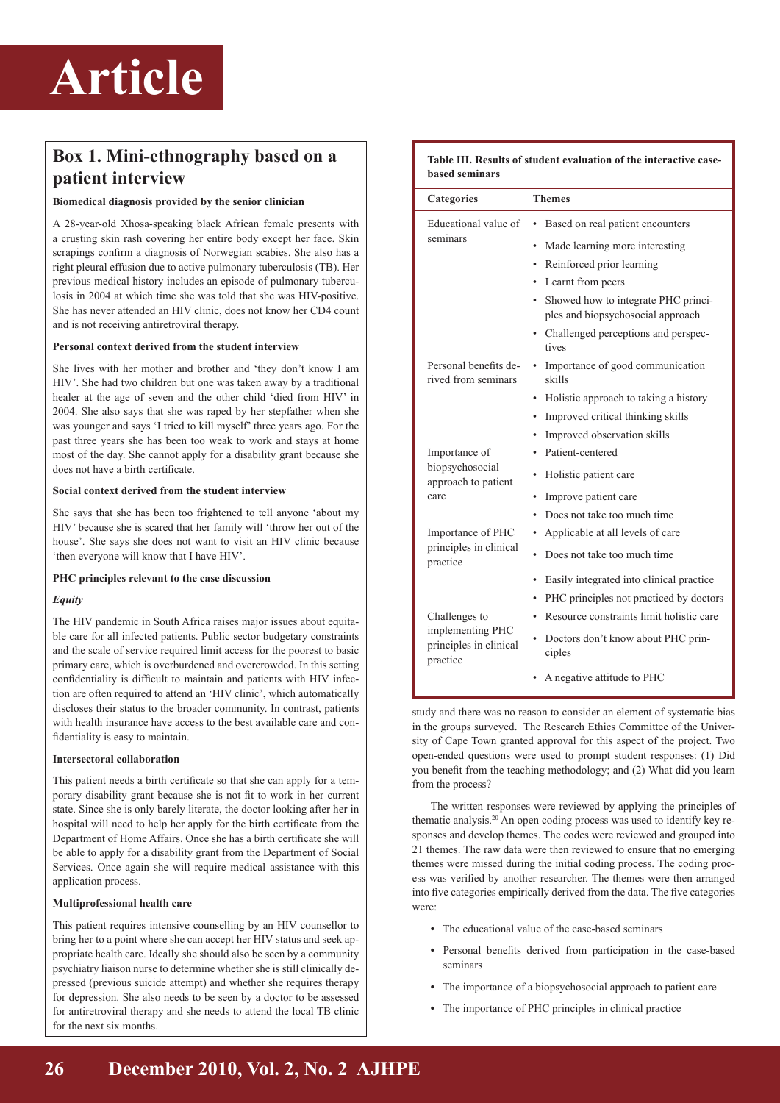

## **Box 1. Mini-ethnography based on a patient interview**

#### **Biomedical diagnosis provided by the senior clinician**

A 28-year-old Xhosa-speaking black African female presents with a crusting skin rash covering her entire body except her face. Skin scrapings confirm a diagnosis of Norwegian scabies. She also has a right pleural effusion due to active pulmonary tuberculosis (TB). Her previous medical history includes an episode of pulmonary tuberculosis in 2004 at which time she was told that she was HIV-positive. She has never attended an HIV clinic, does not know her CD4 count and is not receiving antiretroviral therapy.

#### **Personal context derived from the student interview**

She lives with her mother and brother and 'they don't know I am HIV'. She had two children but one was taken away by a traditional healer at the age of seven and the other child 'died from HIV' in 2004. She also says that she was raped by her stepfather when she was younger and says 'I tried to kill myself' three years ago. For the past three years she has been too weak to work and stays at home most of the day. She cannot apply for a disability grant because she does not have a birth certificate.

#### **Social context derived from the student interview**

She says that she has been too frightened to tell anyone 'about my HIV' because she is scared that her family will 'throw her out of the house'. She says she does not want to visit an HIV clinic because 'then everyone will know that I have HIV'.

#### **PHC principles relevant to the case discussion**

#### *Equity*

The HIV pandemic in South Africa raises major issues about equitable care for all infected patients. Public sector budgetary constraints and the scale of service required limit access for the poorest to basic primary care, which is overburdened and overcrowded. In this setting confidentiality is difficult to maintain and patients with HIV infection are often required to attend an 'HIV clinic', which automatically discloses their status to the broader community. In contrast, patients with health insurance have access to the best available care and confidentiality is easy to maintain.

#### **Intersectoral collaboration**

This patient needs a birth certificate so that she can apply for a temporary disability grant because she is not fit to work in her current state. Since she is only barely literate, the doctor looking after her in hospital will need to help her apply for the birth certificate from the Department of Home Affairs. Once she has a birth certificate she will be able to apply for a disability grant from the Department of Social Services. Once again she will require medical assistance with this application process.

#### **Multiprofessional health care**

This patient requires intensive counselling by an HIV counsellor to bring her to a point where she can accept her HIV status and seek appropriate health care. Ideally she should also be seen by a community psychiatry liaison nurse to determine whether she is still clinically depressed (previous suicide attempt) and whether she requires therapy for depression. She also needs to be seen by a doctor to be assessed for antiretroviral therapy and she needs to attend the local TB clinic for the next six months.

| Table III. Results of student evaluation of the interactive case-<br><b>based seminars</b> |                                                                                                                                                                                                                                                    |  |
|--------------------------------------------------------------------------------------------|----------------------------------------------------------------------------------------------------------------------------------------------------------------------------------------------------------------------------------------------------|--|
| <b>Categories</b>                                                                          | <b>Themes</b>                                                                                                                                                                                                                                      |  |
| Educational value of<br>seminars                                                           | Based on real patient encounters<br>Made learning more interesting<br>• Reinforced prior learning<br>Learnt from peers<br>Showed how to integrate PHC princi-<br>ples and biopsychosocial approach<br>Challenged perceptions and perspec-<br>tives |  |
| Personal benefits de-<br>rived from seminars                                               | Importance of good communication<br>$\bullet$<br>skills<br>Holistic approach to taking a history<br>Improved critical thinking skills<br>$\bullet$<br>Improved observation skills                                                                  |  |
| Importance of<br>biopsychosocial<br>approach to patient<br>care                            | Patient-centered<br>Holistic patient care<br>Improve patient care<br>Does not take too much time                                                                                                                                                   |  |
| Importance of PHC<br>principles in clinical<br>practice                                    | Applicable at all levels of care<br>Does not take too much time<br>Easily integrated into clinical practice                                                                                                                                        |  |
| Challenges to<br>implementing PHC<br>principles in clinical<br>practice                    | PHC principles not practiced by doctors<br>٠<br>Resource constraints limit holistic care<br>Doctors don't know about PHC prin-<br>ciples<br>A negative attitude to PHC                                                                             |  |

study and there was no reason to consider an element of systematic bias in the groups surveyed. The Research Ethics Committee of the University of Cape Town granted approval for this aspect of the project. Two open-ended questions were used to prompt student responses: (1) Did you benefit from the teaching methodology; and (2) What did you learn from the process?

The written responses were reviewed by applying the principles of thematic analysis.20 An open coding process was used to identify key responses and develop themes. The codes were reviewed and grouped into 21 themes. The raw data were then reviewed to ensure that no emerging themes were missed during the initial coding process. The coding process was verified by another researcher. The themes were then arranged into five categories empirically derived from the data. The five categories were:

- The educational value of the case-based seminars
- Personal benefits derived from participation in the case-based seminars
- The importance of a biopsychosocial approach to patient care
- The importance of PHC principles in clinical practice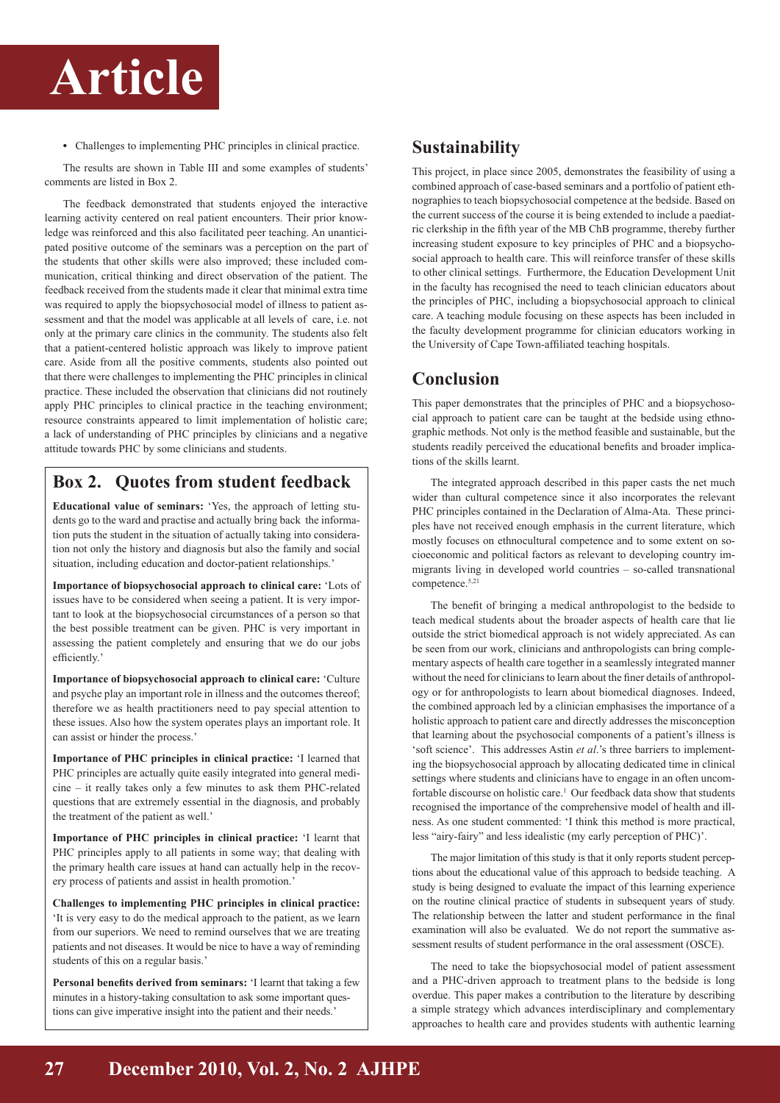

• Challenges to implementing PHC principles in clinical practice.

The results are shown in Table III and some examples of students' comments are listed in Box 2.

The feedback demonstrated that students enjoyed the interactive learning activity centered on real patient encounters. Their prior knowledge was reinforced and this also facilitated peer teaching. An unanticipated positive outcome of the seminars was a perception on the part of the students that other skills were also improved; these included communication, critical thinking and direct observation of the patient. The feedback received from the students made it clear that minimal extra time was required to apply the biopsychosocial model of illness to patient assessment and that the model was applicable at all levels of care, i.e. not only at the primary care clinics in the community. The students also felt that a patient-centered holistic approach was likely to improve patient care. Aside from all the positive comments, students also pointed out that there were challenges to implementing the PHC principles in clinical practice. These included the observation that clinicians did not routinely apply PHC principles to clinical practice in the teaching environment; resource constraints appeared to limit implementation of holistic care; a lack of understanding of PHC principles by clinicians and a negative attitude towards PHC by some clinicians and students.

## **Box 2. Quotes from student feedback**

**Educational value of seminars:** 'Yes, the approach of letting students go to the ward and practise and actually bring back the information puts the student in the situation of actually taking into consideration not only the history and diagnosis but also the family and social situation, including education and doctor-patient relationships.'

**Importance of biopsychosocial approach to clinical care:** 'Lots of issues have to be considered when seeing a patient. It is very important to look at the biopsychosocial circumstances of a person so that the best possible treatment can be given. PHC is very important in assessing the patient completely and ensuring that we do our jobs efficiently.'

**Importance of biopsychosocial approach to clinical care:** 'Culture and psyche play an important role in illness and the outcomes thereof; therefore we as health practitioners need to pay special attention to these issues. Also how the system operates plays an important role. It can assist or hinder the process.'

**Importance of PHC principles in clinical practice:** 'I learned that PHC principles are actually quite easily integrated into general medicine – it really takes only a few minutes to ask them PHC-related questions that are extremely essential in the diagnosis, and probably the treatment of the patient as well.'

**Importance of PHC principles in clinical practice:** 'I learnt that PHC principles apply to all patients in some way; that dealing with the primary health care issues at hand can actually help in the recovery process of patients and assist in health promotion.'

**Challenges to implementing PHC principles in clinical practice:** 'It is very easy to do the medical approach to the patient, as we learn from our superiors. We need to remind ourselves that we are treating patients and not diseases. It would be nice to have a way of reminding students of this on a regular basis.'

**Personal benefits derived from seminars:** 'I learnt that taking a few minutes in a history-taking consultation to ask some important questions can give imperative insight into the patient and their needs.'

## **Sustainability**

This project, in place since 2005, demonstrates the feasibility of using a combined approach of case-based seminars and a portfolio of patient ethnographies to teach biopsychosocial competence at the bedside. Based on the current success of the course it is being extended to include a paediatric clerkship in the fifth year of the MB ChB programme, thereby further increasing student exposure to key principles of PHC and a biopsychosocial approach to health care. This will reinforce transfer of these skills to other clinical settings. Furthermore, the Education Development Unit in the faculty has recognised the need to teach clinician educators about the principles of PHC, including a biopsychosocial approach to clinical care. A teaching module focusing on these aspects has been included in the faculty development programme for clinician educators working in the University of Cape Town-affiliated teaching hospitals.

### **Conclusion**

This paper demonstrates that the principles of PHC and a biopsychosocial approach to patient care can be taught at the bedside using ethnographic methods. Not only is the method feasible and sustainable, but the students readily perceived the educational benefits and broader implications of the skills learnt.

The integrated approach described in this paper casts the net much wider than cultural competence since it also incorporates the relevant PHC principles contained in the Declaration of Alma-Ata. These principles have not received enough emphasis in the current literature, which mostly focuses on ethnocultural competence and to some extent on socioeconomic and political factors as relevant to developing country immigrants living in developed world countries – so-called transnational competence.5,21

The benefit of bringing a medical anthropologist to the bedside to teach medical students about the broader aspects of health care that lie outside the strict biomedical approach is not widely appreciated. As can be seen from our work, clinicians and anthropologists can bring complementary aspects of health care together in a seamlessly integrated manner without the need for clinicians to learn about the finer details of anthropology or for anthropologists to learn about biomedical diagnoses. Indeed, the combined approach led by a clinician emphasises the importance of a holistic approach to patient care and directly addresses the misconception that learning about the psychosocial components of a patient's illness is 'soft science'. This addresses Astin *et al*.'s three barriers to implementing the biopsychosocial approach by allocating dedicated time in clinical settings where students and clinicians have to engage in an often uncomfortable discourse on holistic care.<sup>1</sup> Our feedback data show that students recognised the importance of the comprehensive model of health and illness. As one student commented: 'I think this method is more practical, less "airy-fairy" and less idealistic (my early perception of PHC)'.

The major limitation of this study is that it only reports student perceptions about the educational value of this approach to bedside teaching. A study is being designed to evaluate the impact of this learning experience on the routine clinical practice of students in subsequent years of study. The relationship between the latter and student performance in the final examination will also be evaluated. We do not report the summative assessment results of student performance in the oral assessment (OSCE).

The need to take the biopsychosocial model of patient assessment and a PHC-driven approach to treatment plans to the bedside is long overdue. This paper makes a contribution to the literature by describing a simple strategy which advances interdisciplinary and complementary approaches to health care and provides students with authentic learning